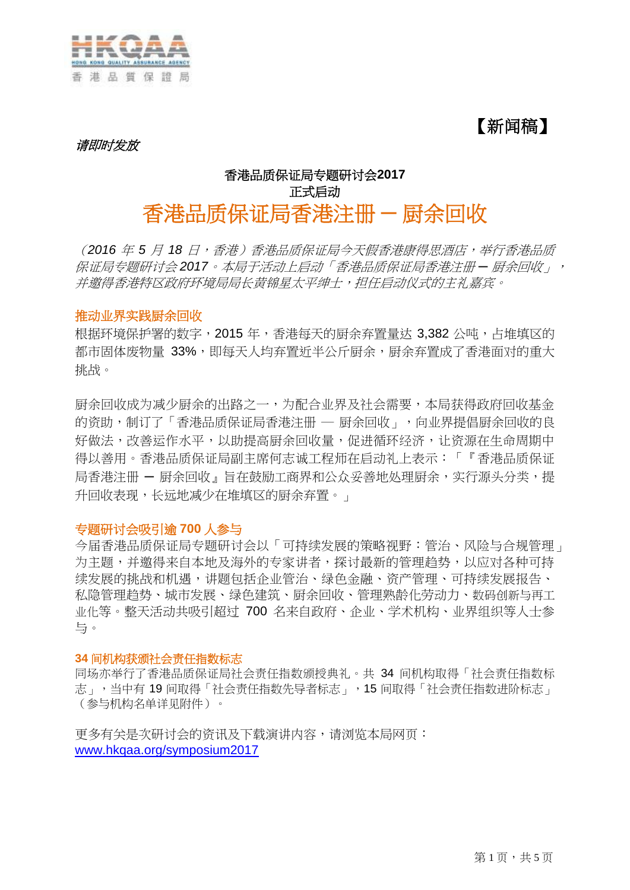

【新闻稿】

请即时发放

# 香港品质保证局专题研讨会**2017** 正式启动 香港品质保证局香港注册 **─** 厨余回收

(*2016* 年 *5* 月 *18* 日,香港)香港品质保证局今天假香港康得思酒店,举行香港品质 保证局专题研讨会 *2017*。本局于活动上启动「香港品质保证局香港注册 *─* 厨余回收」, 并邀得香港特区政府环境局局长黄锦星太平绅士,担任启动仪式的主礼嘉宾。

## 推动业界实践厨余回收

根据环境保护署的数字,2015 年,香港每天的厨余弃置量达 3,382 公吨,占堆填区的 都市固体废物量 33%,即每天人均弃置近半公斤厨余,厨余弃置成了香港面对的重大 挑战。

厨余回收成为减少厨余的出路之一,为配合业界及社会需要,本局获得政府回收基金 的资助,制订了「香港品质保证局香港注册 — 厨余回收」,向业界提倡厨余回收的良 好做法,改善运作水平,以助提高厨余回收量,促进循环经济,让资源在生命周期中 得以善用。香港品质保证局副主席何志诚工程师在启动礼上表示:「『香港品质保证 局香港注册 ー 厨余回收 』 旨在鼓励工商界和公众妥善地处理厨余,实行源头分类,提 升回收表现,长远地减少在堆填区的厨余弃置。」

# 专题研讨会吸引逾 **700** 人参与

今届香港品质保证局专题研讨会以「可持续发展的策略视野:管治、风险与合规管理」 为主题,并邀得来自本地及海外的专家讲者,探讨最新的管理趋势,以应对各种可持 续发展的挑战和机遇,讲题包括企业管治、绿色金融、资产管理、可持续发展报告、 私隐管理趋势、城市发展、绿色建筑、厨余回收、管理熟龄化劳动力、数码创新与再工 业化等。整天活动共吸引超过 700 名来自政府、企业、学术机构、业界组织等人士参 与。

#### **34** 间机构获颁社会责任指数标志

同场亦举行了香港品质保证局社会责任指数颁授典礼。共 34 间机构取得「社会责任指数标 志」,当中有19 间取得「社会责任指数先导者标志」,15 间取得「社会责任指数进阶标志」 (参与机构名单详见附件)。

更多有关是次研讨会的资讯及下载演讲内容,请浏览本局网页: [www.hkqaa.org/symposium2017](http://www.hkqaa.org/symposium2017)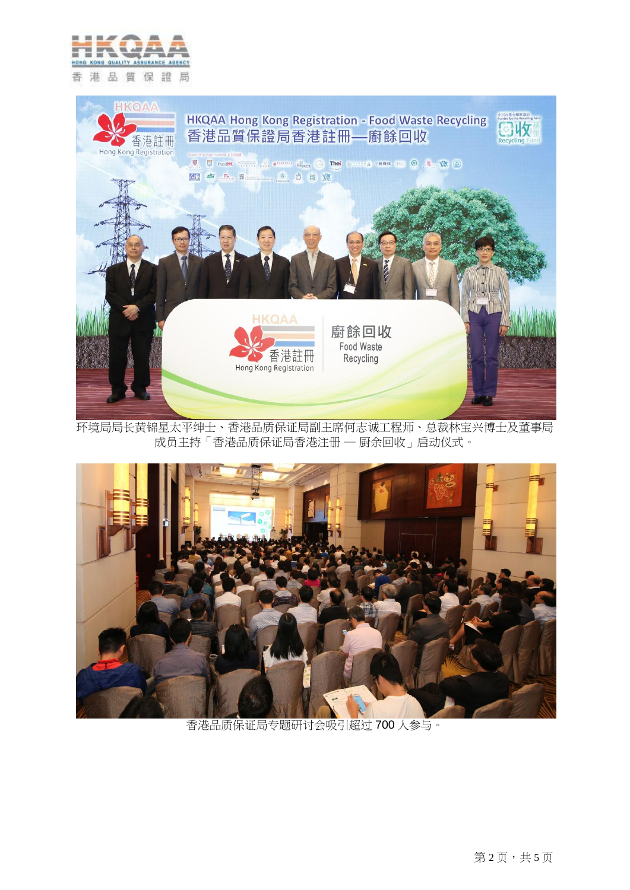



环境局局长黄锦星太平绅士、香港品质保证局副主席何志诚工程师、总裁林宝兴博士及董事局 成员主持「香港品质保证局香港注册 ─ 厨余回收」启动仪式。



香港品质保证局专题研讨会吸引超过 700 人参与。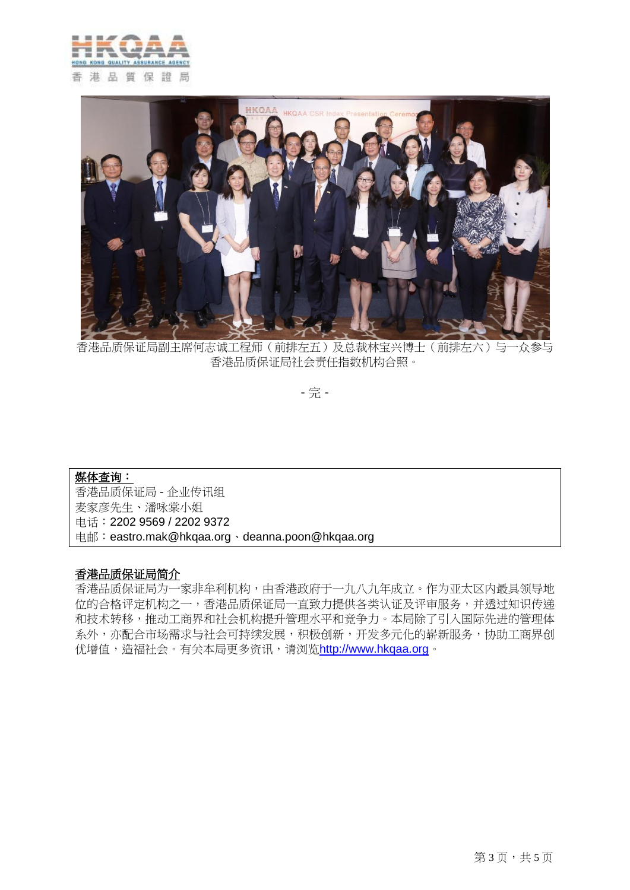



香港品质保证局副主席何志诚工程师(前排左五)及总裁林宝兴博士(前排左六)与一众参与 香港品质保证局社会责任指数机构合照。

- 完 -

# 媒体查询: 香港品质保证局 - 企业传讯组 麦家彦先生、潘咏棠小姐 电话:2202 9569 / 2202 9372 电邮:eastro.mak@hkqaa.org、deanna.poon@hkqaa.org

## 香港品质保证局简介

香港品质保证局为一家非牟利机构,由香港政府于一九八九年成立。作为亚太区内最具领导地 位的合格评定机构之一,香港品质保证局一直致力提供各类认证及评审服务,并透过知识传递 和技术转移,推动工商界和社会机构提升管理水平和竞争力。本局除了引入国际先进的管理体 系外,亦配合市场需求与社会可持续发展,积极创新,开发多元化的崭新服务,协助工商界创 优增值,造福社会。有关本局更多资讯,请浏览[http://www.hkqaa.org](http://www.hkqaa.org/)。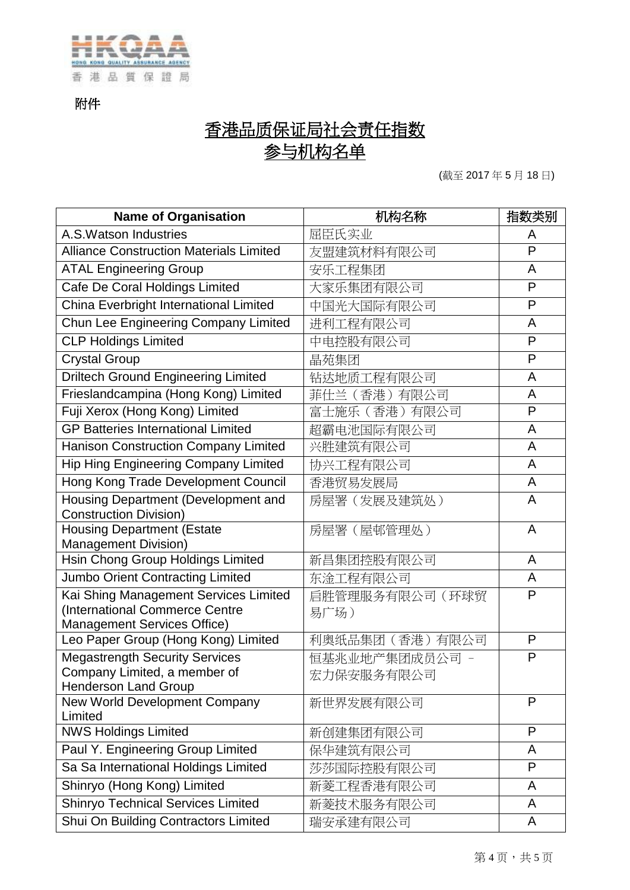

附件

# 香港品质保证局社会责任指数 参与机构名单

(截至 2017 年 5 月 18 日)

| <b>Name of Organisation</b>                                                                                   | 机构名称                         | 指数类别 |
|---------------------------------------------------------------------------------------------------------------|------------------------------|------|
| A.S. Watson Industries                                                                                        | 屈臣氏实业                        | A    |
| <b>Alliance Construction Materials Limited</b>                                                                | 友盟建筑材料有限公司                   | P    |
| <b>ATAL Engineering Group</b>                                                                                 | 安乐工程集团                       | A    |
| Cafe De Coral Holdings Limited                                                                                | 大家乐集团有限公司                    | P    |
| China Everbright International Limited                                                                        | 中国光大国际有限公司                   | P    |
| Chun Lee Engineering Company Limited                                                                          | 进利工程有限公司                     | A    |
| <b>CLP Holdings Limited</b>                                                                                   | 中电控股有限公司                     | P    |
| <b>Crystal Group</b>                                                                                          | 晶苑集团                         | P    |
| <b>Driltech Ground Engineering Limited</b>                                                                    | 钻达地质工程有限公司                   | A    |
| Frieslandcampina (Hong Kong) Limited                                                                          | 菲仕兰(香港)有限公司                  | A    |
| Fuji Xerox (Hong Kong) Limited                                                                                | 富士施乐(香港)有限公司                 | P    |
| <b>GP Batteries International Limited</b>                                                                     | 超霸电池国际有限公司                   | A    |
| Hanison Construction Company Limited                                                                          | 兴胜建筑有限公司                     | A    |
| <b>Hip Hing Engineering Company Limited</b>                                                                   | 协兴工程有限公司                     | A    |
| Hong Kong Trade Development Council                                                                           | 香港贸易发展局                      | A    |
| Housing Department (Development and<br><b>Construction Division)</b>                                          | 房屋署(发展及建筑处)                  | Α    |
| <b>Housing Department (Estate</b><br><b>Management Division)</b>                                              | 房屋署 (屋邨管理处)                  | A    |
| Hsin Chong Group Holdings Limited                                                                             | 新昌集团控股有限公司                   | A    |
| Jumbo Orient Contracting Limited                                                                              | 东淦工程有限公司                     | A    |
| Kai Shing Management Services Limited<br>(International Commerce Centre<br><b>Management Services Office)</b> | 启胜管理服务有限公司(环球贸<br>易广场)       | P    |
| Leo Paper Group (Hong Kong) Limited                                                                           | 利奧纸品集团 (香港) 有限公司             | P    |
| <b>Megastrength Security Services</b><br>Company Limited, a member of<br><b>Henderson Land Group</b>          | 恒基兆业地产集团成员公司 -<br>宏力保安服务有限公司 | P    |
| New World Development Company<br>Limited                                                                      | 新世界发展有限公司                    | P    |
| <b>NWS Holdings Limited</b>                                                                                   | 新创建集团有限公司                    | P    |
| Paul Y. Engineering Group Limited                                                                             | 保华建筑有限公司                     | A    |
| Sa Sa International Holdings Limited                                                                          | 莎莎国际控股有限公司                   | P    |
| Shinryo (Hong Kong) Limited                                                                                   | 新菱工程香港有限公司                   | A    |
| <b>Shinryo Technical Services Limited</b>                                                                     | 新菱技术服务有限公司                   | A    |
| Shui On Building Contractors Limited                                                                          | 瑞安承建有限公司                     | A    |